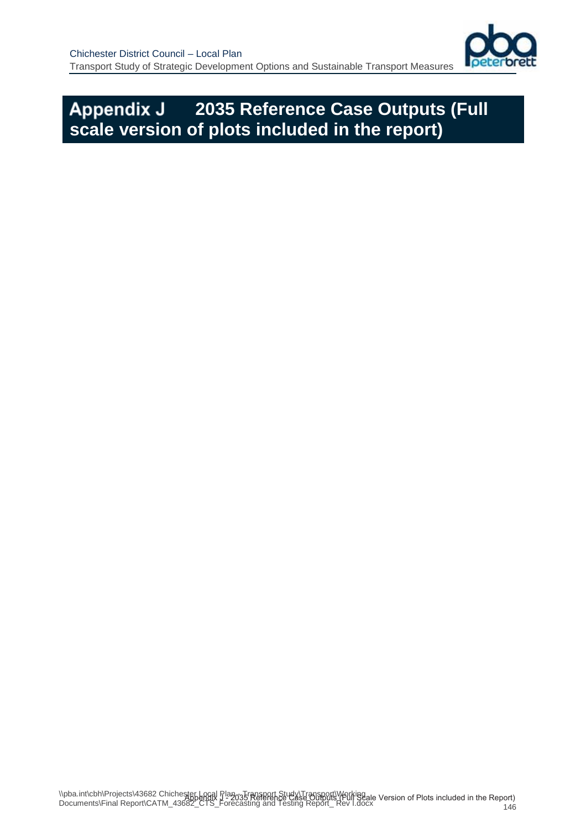

## **2035 Reference Case Outputs (Full scale version of plots included in the report)**

146 \\pba.int\cbh\Projects\43682 Chichester Local Plan - Transport Study\Transport\Working. NPDa.int\CDINFTOJeCtS\43062 ChicheSNEbenIdR T=2035 Reference Case Outbuts\f=Un's Case<br>Documents\Final Report\CATM\_43682\_CTS\_Forecasting and Testing Report\_ Rev I.docx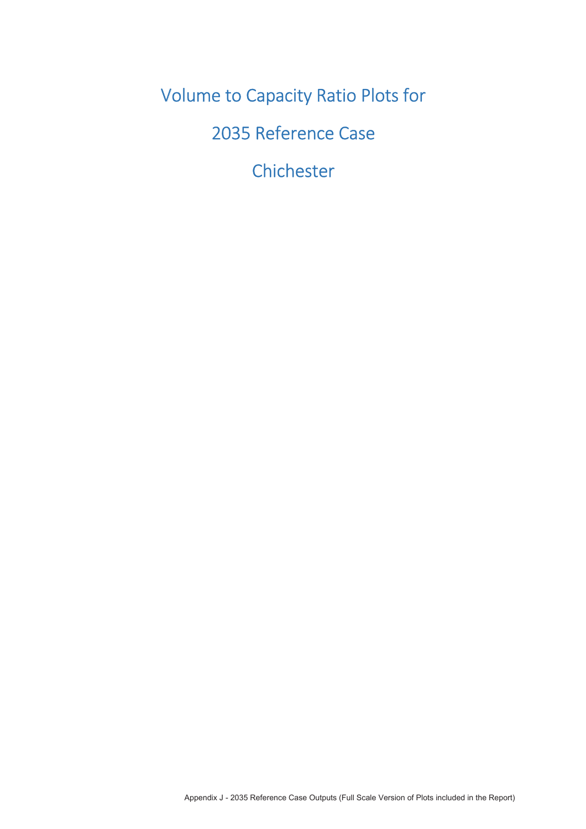**Volume to Capacity Ratio Plots for** 

2035 Reference Case

Chichester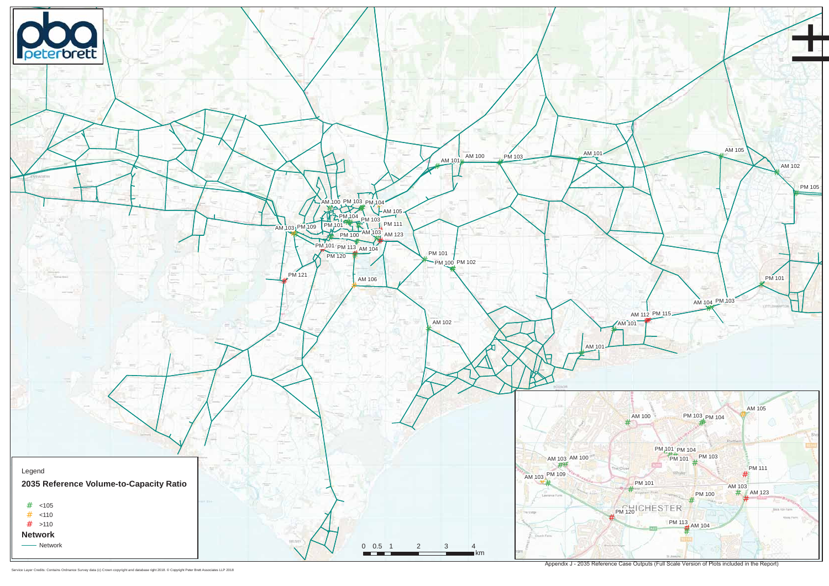Appendix J - 2035 Reference Case Outputs (Full Scale Version of Plots included in the Report)

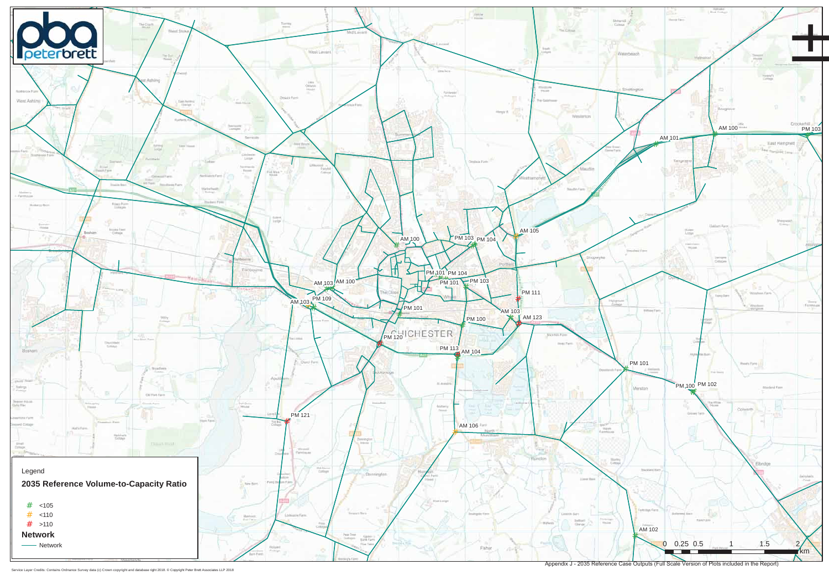Appendix J - 2035 Reference Case Outputs (Full Scale Version of Plots included in the Report)

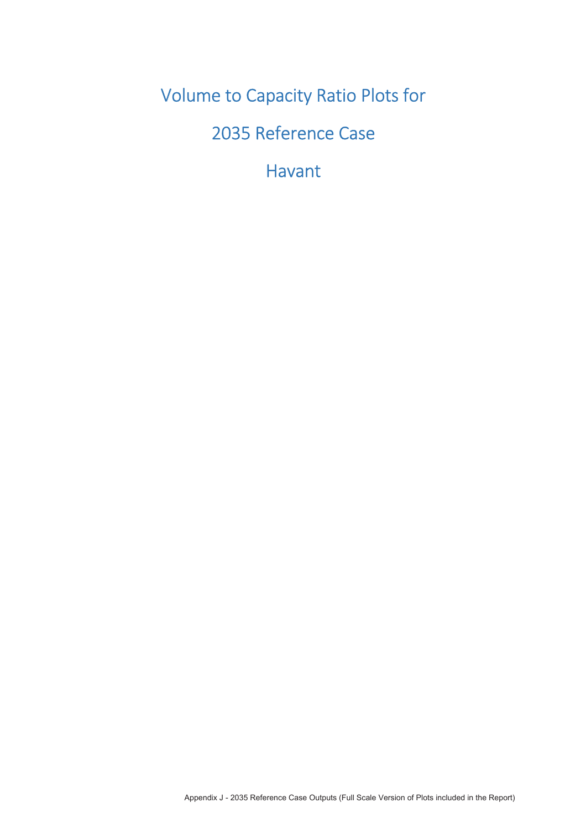**Volume to Capacity Ratio Plots for** 

2035 Reference Case

**Havant**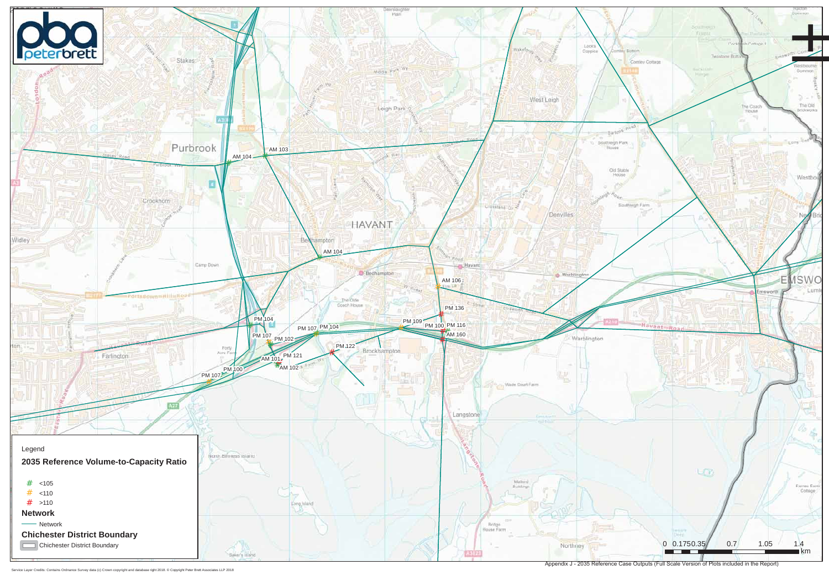Appendix J - 2035 Reference Case Outputs (Full Scale Version of Plots included in the Report)

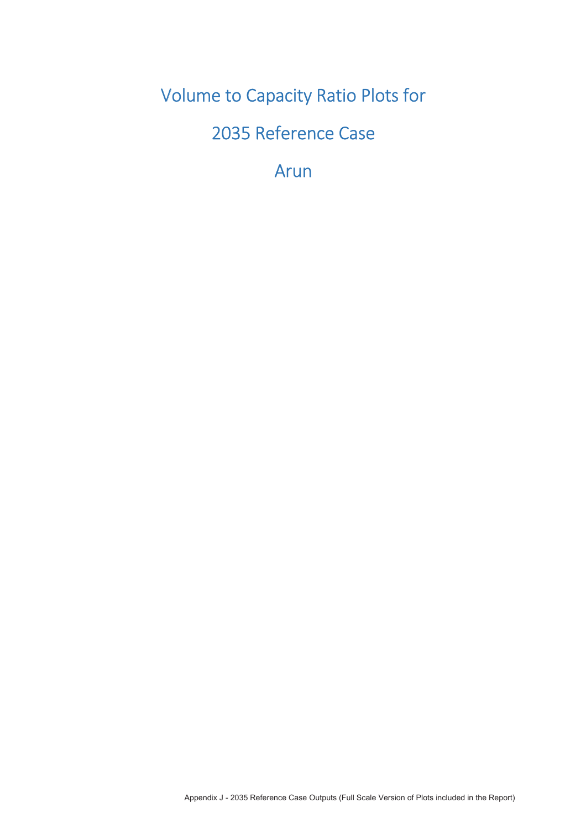**Volume to Capacity Ratio Plots for** 

2035 Reference Case

Arun